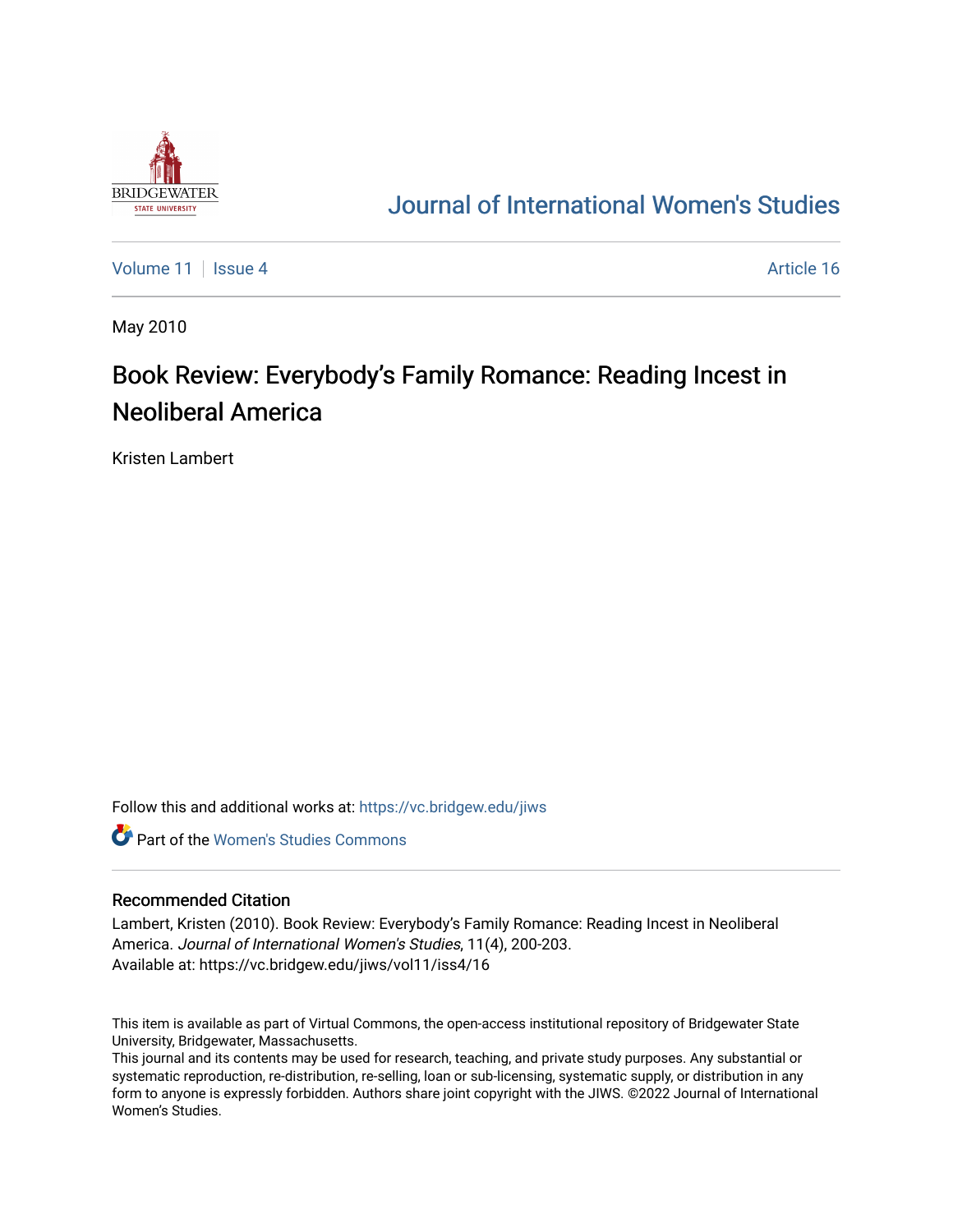

## [Journal of International Women's Studies](https://vc.bridgew.edu/jiws)

[Volume 11](https://vc.bridgew.edu/jiws/vol11) | [Issue 4](https://vc.bridgew.edu/jiws/vol11/iss4) Article 16

May 2010

## Book Review: Everybody's Family Romance: Reading Incest in Neoliberal America

Kristen Lambert

Follow this and additional works at: [https://vc.bridgew.edu/jiws](https://vc.bridgew.edu/jiws?utm_source=vc.bridgew.edu%2Fjiws%2Fvol11%2Fiss4%2F16&utm_medium=PDF&utm_campaign=PDFCoverPages)

**C** Part of the Women's Studies Commons

## Recommended Citation

Lambert, Kristen (2010). Book Review: Everybody's Family Romance: Reading Incest in Neoliberal America. Journal of International Women's Studies, 11(4), 200-203. Available at: https://vc.bridgew.edu/jiws/vol11/iss4/16

This item is available as part of Virtual Commons, the open-access institutional repository of Bridgewater State University, Bridgewater, Massachusetts.

This journal and its contents may be used for research, teaching, and private study purposes. Any substantial or systematic reproduction, re-distribution, re-selling, loan or sub-licensing, systematic supply, or distribution in any form to anyone is expressly forbidden. Authors share joint copyright with the JIWS. ©2022 Journal of International Women's Studies.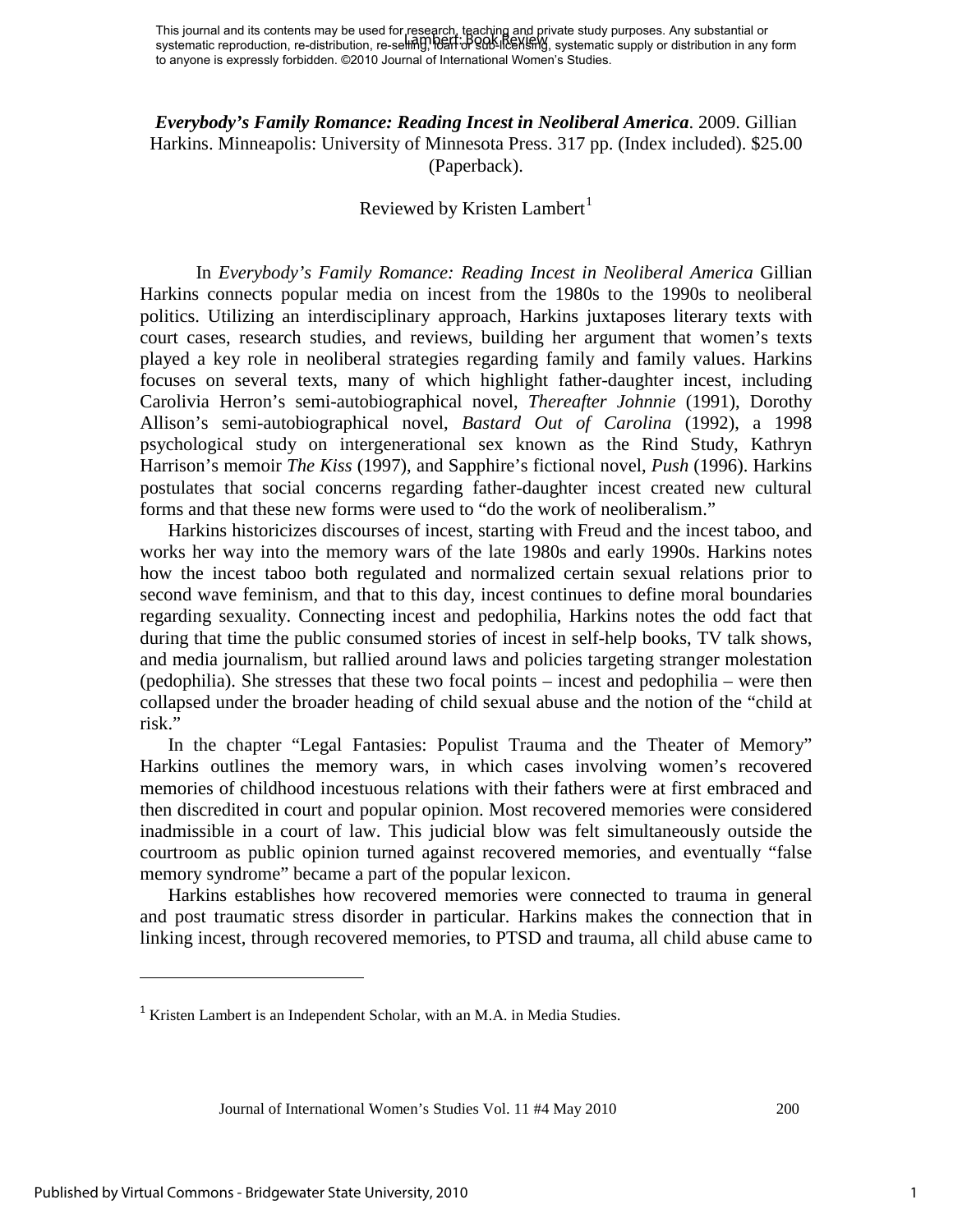*Everybody's Family Romance: Reading Incest in Neoliberal America*. 2009. Gillian Harkins. Minneapolis: University of Minnesota Press. 317 pp. (Index included). \$25.00 (Paperback).

## Reviewed by Kristen  $L$ ambert $<sup>1</sup>$  $<sup>1</sup>$  $<sup>1</sup>$ </sup>

In *Everybody's Family Romance: Reading Incest in Neoliberal America* Gillian Harkins connects popular media on incest from the 1980s to the 1990s to neoliberal politics. Utilizing an interdisciplinary approach, Harkins juxtaposes literary texts with court cases, research studies, and reviews, building her argument that women's texts played a key role in neoliberal strategies regarding family and family values. Harkins focuses on several texts, many of which highlight father-daughter incest, including Carolivia Herron's semi-autobiographical novel, *Thereafter Johnnie* (1991), Dorothy Allison's semi-autobiographical novel, *Bastard Out of Carolina* (1992), a 1998 psychological study on intergenerational sex known as the Rind Study, Kathryn Harrison's memoir *The Kiss* (1997), and Sapphire's fictional novel, *Push* (1996). Harkins postulates that social concerns regarding father-daughter incest created new cultural forms and that these new forms were used to "do the work of neoliberalism."

Harkins historicizes discourses of incest, starting with Freud and the incest taboo, and works her way into the memory wars of the late 1980s and early 1990s. Harkins notes how the incest taboo both regulated and normalized certain sexual relations prior to second wave feminism, and that to this day, incest continues to define moral boundaries regarding sexuality. Connecting incest and pedophilia, Harkins notes the odd fact that during that time the public consumed stories of incest in self-help books, TV talk shows, and media journalism, but rallied around laws and policies targeting stranger molestation (pedophilia). She stresses that these two focal points – incest and pedophilia – were then collapsed under the broader heading of child sexual abuse and the notion of the "child at risk."

In the chapter "Legal Fantasies: Populist Trauma and the Theater of Memory" Harkins outlines the memory wars, in which cases involving women's recovered memories of childhood incestuous relations with their fathers were at first embraced and then discredited in court and popular opinion. Most recovered memories were considered inadmissible in a court of law. This judicial blow was felt simultaneously outside the courtroom as public opinion turned against recovered memories, and eventually "false memory syndrome" became a part of the popular lexicon.

Harkins establishes how recovered memories were connected to trauma in general and post traumatic stress disorder in particular. Harkins makes the connection that in linking incest, through recovered memories, to PTSD and trauma, all child abuse came to

ı

<span id="page-1-0"></span><sup>&</sup>lt;sup>1</sup> Kristen Lambert is an Independent Scholar, with an M.A. in Media Studies.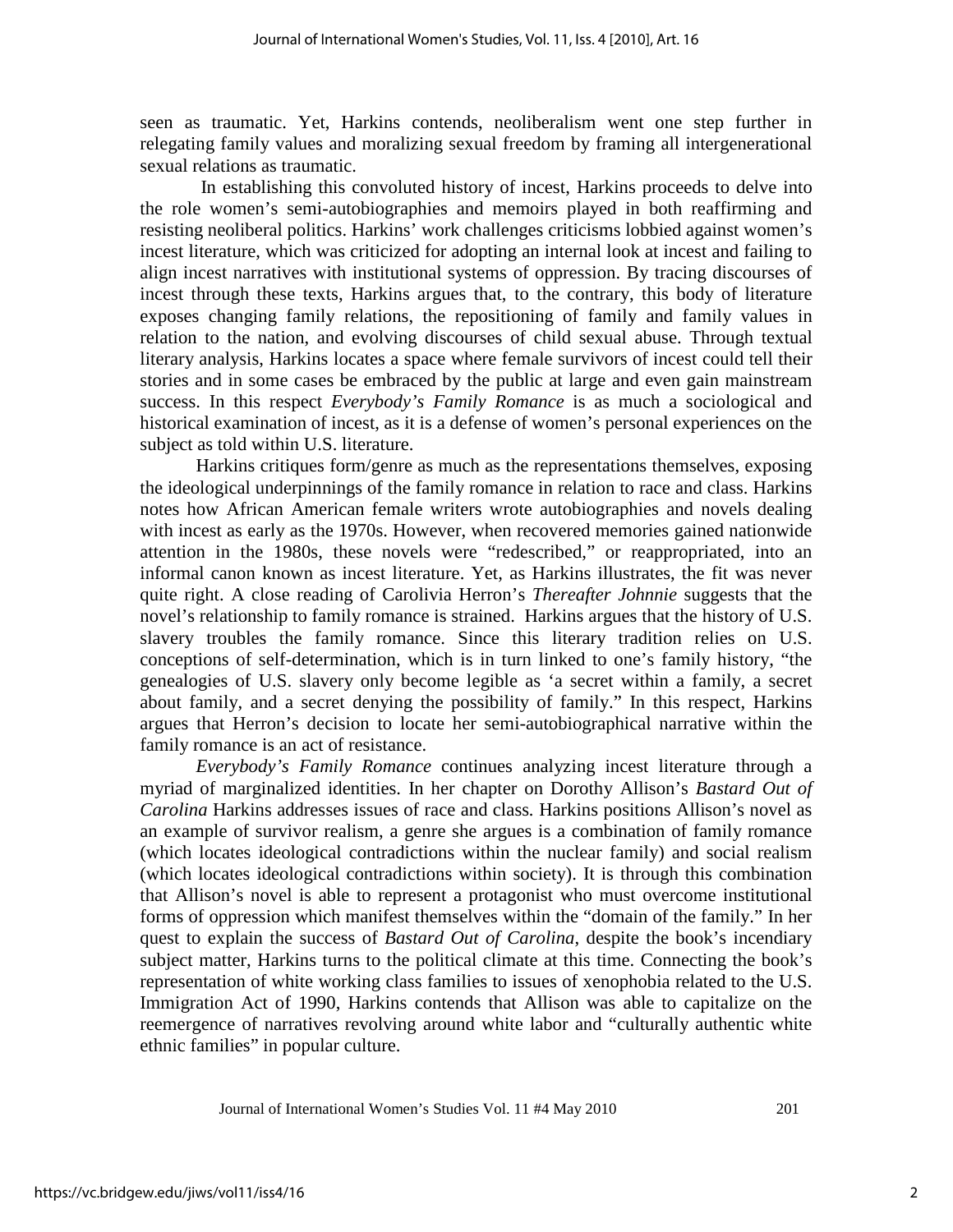seen as traumatic. Yet, Harkins contends, neoliberalism went one step further in relegating family values and moralizing sexual freedom by framing all intergenerational sexual relations as traumatic.

 In establishing this convoluted history of incest, Harkins proceeds to delve into the role women's semi-autobiographies and memoirs played in both reaffirming and resisting neoliberal politics. Harkins' work challenges criticisms lobbied against women's incest literature, which was criticized for adopting an internal look at incest and failing to align incest narratives with institutional systems of oppression. By tracing discourses of incest through these texts, Harkins argues that, to the contrary, this body of literature exposes changing family relations, the repositioning of family and family values in relation to the nation, and evolving discourses of child sexual abuse. Through textual literary analysis, Harkins locates a space where female survivors of incest could tell their stories and in some cases be embraced by the public at large and even gain mainstream success. In this respect *Everybody's Family Romance* is as much a sociological and historical examination of incest, as it is a defense of women's personal experiences on the subject as told within U.S. literature.

Harkins critiques form/genre as much as the representations themselves, exposing the ideological underpinnings of the family romance in relation to race and class. Harkins notes how African American female writers wrote autobiographies and novels dealing with incest as early as the 1970s. However, when recovered memories gained nationwide attention in the 1980s, these novels were "redescribed," or reappropriated, into an informal canon known as incest literature. Yet, as Harkins illustrates, the fit was never quite right. A close reading of Carolivia Herron's *Thereafter Johnnie* suggests that the novel's relationship to family romance is strained. Harkins argues that the history of U.S. slavery troubles the family romance. Since this literary tradition relies on U.S. conceptions of self-determination, which is in turn linked to one's family history, "the genealogies of U.S. slavery only become legible as 'a secret within a family, a secret about family, and a secret denying the possibility of family." In this respect, Harkins argues that Herron's decision to locate her semi-autobiographical narrative within the family romance is an act of resistance.

*Everybody's Family Romance* continues analyzing incest literature through a myriad of marginalized identities. In her chapter on Dorothy Allison's *Bastard Out of Carolina* Harkins addresses issues of race and class*.* Harkins positions Allison's novel as an example of survivor realism, a genre she argues is a combination of family romance (which locates ideological contradictions within the nuclear family) and social realism (which locates ideological contradictions within society). It is through this combination that Allison's novel is able to represent a protagonist who must overcome institutional forms of oppression which manifest themselves within the "domain of the family." In her quest to explain the success of *Bastard Out of Carolina*, despite the book's incendiary subject matter, Harkins turns to the political climate at this time. Connecting the book's representation of white working class families to issues of xenophobia related to the U.S. Immigration Act of 1990, Harkins contends that Allison was able to capitalize on the reemergence of narratives revolving around white labor and "culturally authentic white ethnic families" in popular culture.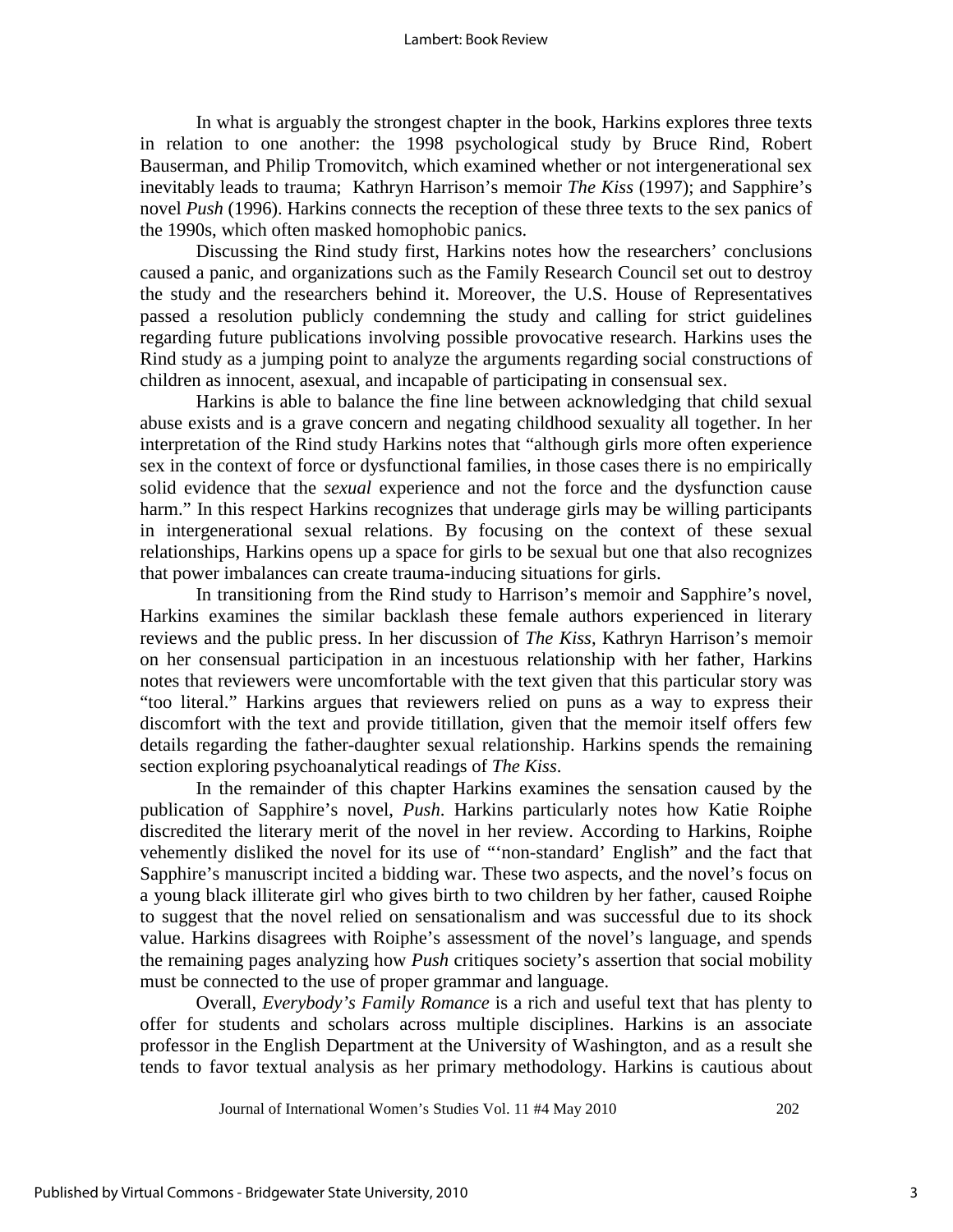In what is arguably the strongest chapter in the book, Harkins explores three texts in relation to one another: the 1998 psychological study by Bruce Rind, Robert Bauserman, and Philip Tromovitch, which examined whether or not intergenerational sex inevitably leads to trauma; Kathryn Harrison's memoir *The Kiss* (1997); and Sapphire's novel *Push* (1996). Harkins connects the reception of these three texts to the sex panics of the 1990s, which often masked homophobic panics.

Discussing the Rind study first, Harkins notes how the researchers' conclusions caused a panic, and organizations such as the Family Research Council set out to destroy the study and the researchers behind it. Moreover, the U.S. House of Representatives passed a resolution publicly condemning the study and calling for strict guidelines regarding future publications involving possible provocative research. Harkins uses the Rind study as a jumping point to analyze the arguments regarding social constructions of children as innocent, asexual, and incapable of participating in consensual sex.

Harkins is able to balance the fine line between acknowledging that child sexual abuse exists and is a grave concern and negating childhood sexuality all together. In her interpretation of the Rind study Harkins notes that "although girls more often experience sex in the context of force or dysfunctional families, in those cases there is no empirically solid evidence that the *sexual* experience and not the force and the dysfunction cause harm." In this respect Harkins recognizes that underage girls may be willing participants in intergenerational sexual relations. By focusing on the context of these sexual relationships, Harkins opens up a space for girls to be sexual but one that also recognizes that power imbalances can create trauma-inducing situations for girls.

In transitioning from the Rind study to Harrison's memoir and Sapphire's novel, Harkins examines the similar backlash these female authors experienced in literary reviews and the public press. In her discussion of *The Kiss*, Kathryn Harrison's memoir on her consensual participation in an incestuous relationship with her father, Harkins notes that reviewers were uncomfortable with the text given that this particular story was "too literal." Harkins argues that reviewers relied on puns as a way to express their discomfort with the text and provide titillation, given that the memoir itself offers few details regarding the father-daughter sexual relationship. Harkins spends the remaining section exploring psychoanalytical readings of *The Kiss*.

In the remainder of this chapter Harkins examines the sensation caused by the publication of Sapphire's novel, *Push*. Harkins particularly notes how Katie Roiphe discredited the literary merit of the novel in her review. According to Harkins, Roiphe vehemently disliked the novel for its use of "'non-standard' English" and the fact that Sapphire's manuscript incited a bidding war. These two aspects, and the novel's focus on a young black illiterate girl who gives birth to two children by her father, caused Roiphe to suggest that the novel relied on sensationalism and was successful due to its shock value. Harkins disagrees with Roiphe's assessment of the novel's language, and spends the remaining pages analyzing how *Push* critiques society's assertion that social mobility must be connected to the use of proper grammar and language.

Overall, *Everybody's Family Romance* is a rich and useful text that has plenty to offer for students and scholars across multiple disciplines. Harkins is an associate professor in the English Department at the University of Washington, and as a result she tends to favor textual analysis as her primary methodology. Harkins is cautious about

Journal of International Women's Studies Vol. 11 #4 May 2010 202